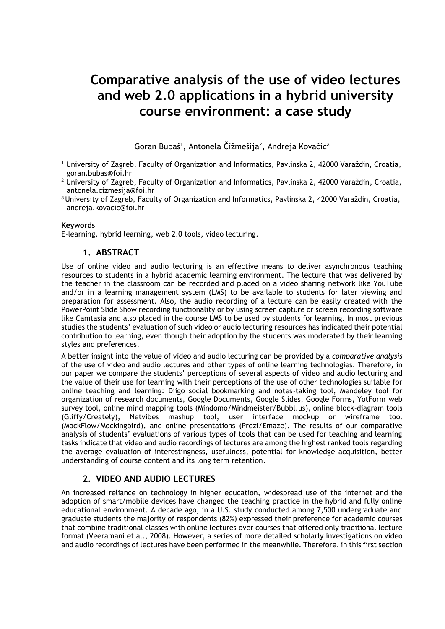# **Comparative analysis of the use of video lectures and web 2.0 applications in a hybrid university course environment: a case study**

Goran Bubaš $^1$ , Antonela Čižmešija $^2$ , Andreja Kovačić $^3$ 

- <sup>1</sup> University of Zagreb, Faculty of Organization and Informatics, Pavlinska 2, 42000 Varaždin, Croatia, [goran.bubas@foi.hr](mailto:goran.bubas@foi.hr)
- <sup>2</sup> University of Zagreb, Faculty of Organization and Informatics, Pavlinska 2, 42000 Varaždin, Croatia, antonela.cizmesija@foi.hr
- <sup>3</sup>University of Zagreb, Faculty of Organization and Informatics, Pavlinska 2, 42000 Varaždin, Croatia, andreja.kovacic@foi.hr

#### **Keywords**

E-learning, hybrid learning, web 2.0 tools, video lecturing.

## **1. ABSTRACT**

Use of online video and audio lecturing is an effective means to deliver asynchronous teaching resources to students in a hybrid academic learning environment. The lecture that was delivered by the teacher in the classroom can be recorded and placed on a video sharing network like YouTube and/or in a learning management system (LMS) to be available to students for later viewing and preparation for assessment. Also, the audio recording of a lecture can be easily created with the PowerPoint Slide Show recording functionality or by using screen capture or screen recording software like Camtasia and also placed in the course LMS to be used by students for learning. In most previous studies the students' evaluation of such video or audio lecturing resources has indicated their potential contribution to learning, even though their adoption by the students was moderated by their learning styles and preferences.

A better insight into the value of video and audio lecturing can be provided by a *comparative analysis* of the use of video and audio lectures and other types of online learning technologies. Therefore, in our paper we compare the students' perceptions of several aspects of video and audio lecturing and the value of their use for learning with their perceptions of the use of other technologies suitable for online teaching and learning: Diigo social bookmarking and notes-taking tool, Mendeley tool for organization of research documents, Google Documents, Google Slides, Google Forms, YotForm web survey tool, online mind mapping tools (Mindomo/Mindmeister/Bubbl.us), online block-diagram tools (Gliffy/Creately), Netvibes mashup tool, user interface mockup or wireframe tool (MockFlow/Mockingbird), and online presentations (Prezi/Emaze). The results of our comparative analysis of students' evaluations of various types of tools that can be used for teaching and learning tasks indicate that video and audio recordings of lectures are among the highest ranked tools regarding the average evaluation of interestingness, usefulness, potential for knowledge acquisition, better understanding of course content and its long term retention.

## **2. VIDEO AND AUDIO LECTURES**

An increased reliance on technology in higher education, widespread use of the internet and the adoption of smart/mobile devices have changed the teaching practice in the hybrid and fully online educational environment. A decade ago, in a U.S. study conducted among 7,500 undergraduate and graduate students the majority of respondents (82%) expressed their preference for academic courses that combine traditional classes with online lectures over courses that offered only traditional lecture format (Veeramani et al., 2008). However, a series of more detailed scholarly investigations on video and audio recordings of lectures have been performed in the meanwhile. Therefore, in this first section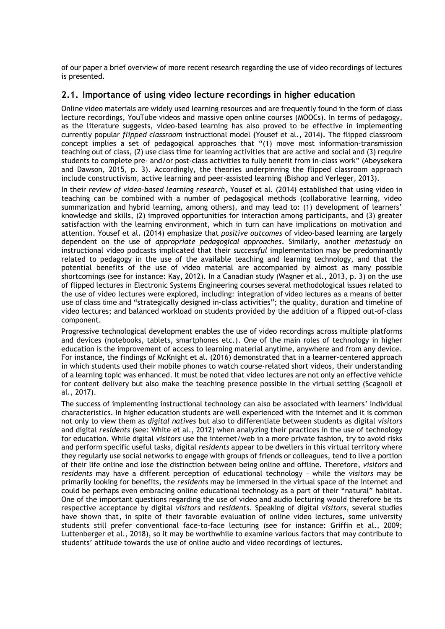of our paper a brief overview of more recent research regarding the use of video recordings of lectures is presented.

## **2.1. Importance of using video lecture recordings in higher education**

Online video materials are widely used learning resources and are frequently found in the form of class lecture recordings, YouTube videos and massive open online courses (MOOCs). In terms of pedagogy, as the literature suggests, video-based learning has also proved to be effective in implementing currently popular *flipped classroom* instructional model **(**Yousef et al., 2014). The flipped classroom concept implies a set of pedagogical approaches that "(1) move most information-transmission teaching out of class, (2) use class time for learning activities that are active and social and (3) require students to complete pre- and/or post-class activities to fully benefit from in-class work" (Abeysekera and Dawson, 2015, p. 3). Accordingly, the theories underpinning the flipped classroom approach include constructivism, active learning and peer-assisted learning (Bishop and Verleger, 2013).

In their *review of video-based learning research*, Yousef et al. (2014) established that using video in teaching can be combined with a number of pedagogical methods (collaborative learning, video summarization and hybrid learning, among others), and may lead to: (1) development of learners' knowledge and skills, (2) improved opportunities for interaction among participants, and (3) greater satisfaction with the learning environment, which in turn can have implications on motivation and attention. Yousef et al. (2014) emphasize that *positive outcomes* of video-based learning are largely dependent on the use of *appropriate pedagogical approaches*. Similarly, another *metastudy* on instructional video podcasts implicated that their *successful* implementation may be predominantly related to pedagogy in the use of the available teaching and learning technology, and that the potential benefits of the use of video material are accompanied by almost as many possible shortcomings (see for instance: Kay, 2012). In a Canadian study (Wagner et al., 2013, p. 3) on the use of flipped lectures in Electronic Systems Engineering courses several methodological issues related to the use of video lectures were explored, including: integration of video lectures as a means of better use of class time and "strategically designed in-class activities"; the quality, duration and timeline of video lectures; and balanced workload on students provided by the addition of a flipped out-of-class component.

Progressive technological development enables the use of video recordings across multiple platforms and devices (notebooks, tablets, smartphones etc.). One of the main roles of technology in higher education is the improvement of access to learning material anytime, anywhere and from any device. For instance, the findings of McKnight et al. (2016) demonstrated that in a learner-centered approach in which students used their mobile phones to watch course-related short videos, their understanding of a learning topic was enhanced. It must be noted that video lectures are not only an effective vehicle for content delivery but also make the teaching presence possible in the virtual setting (Scagnoli et al., 2017).

The success of implementing instructional technology can also be associated with learners' individual characteristics. In higher education students are well experienced with the internet and it is common not only to view them as *digital natives* but also to differentiate between students as digital *visitors*  and digital *residents* (see: White et al., 2012) when analyzing their practices in the use of technology for education. While digital *visitors* use the internet/web in a more private fashion, try to avoid risks and perform specific useful tasks, digital *residents* appear to be dwellers in this virtual territory where they regularly use social networks to engage with groups of friends or colleagues, tend to live a portion of their life online and lose the distinction between being online and offline. Therefore, *visitors* and *residents* may have a different perception of educational technology – while the *visitors* may be primarily looking for benefits, the *residents* may be immersed in the virtual space of the internet and could be perhaps even embracing online educational technology as a part of their "natural" habitat. One of the important questions regarding the use of video and audio lecturing would therefore be its respective acceptance by digital *visitors* and *residents*. Speaking of digital *visitors*, several studies have shown that, in spite of their favorable evaluation of online video lectures, some university students still prefer conventional face-to-face lecturing (see for instance: Griffin et al., 2009; Luttenberger et al., 2018), so it may be worthwhile to examine various factors that may contribute to students' attitude towards the use of online audio and video recordings of lectures.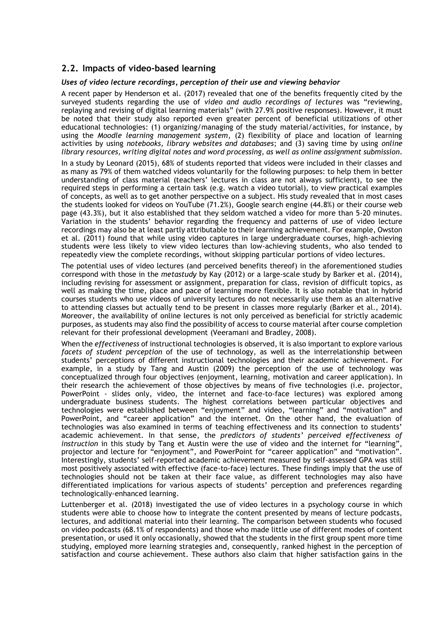## **2.2. Impacts of video-based learning**

#### *Uses of video lecture recordings, perception of their use and viewing behavior*

A recent paper by Henderson et al. (2017) revealed that one of the benefits frequently cited by the surveyed students regarding the use of *video and audio recordings of lectures* was "reviewing, replaying and revising of digital learning materials" (with 27.9% positive responses). However, it must be noted that their study also reported even greater percent of beneficial utilizations of other educational technologies: (1) organizing/managing of the study material/activities, for instance, by using the *Moodle learning management system*, (2) flexibility of place and location of learning activities by using *notebooks, library websites and databases*; and (3) saving time by using *online library resources, writing digital notes and word processing, as well as online assignment submission*.

In a study by Leonard (2015), 68% of students reported that videos were included in their classes and as many as 79% of them watched videos voluntarily for the following purposes: to help them in better understanding of class material (teachers' lectures in class are not always sufficient), to see the required steps in performing a certain task (e.g. watch a video tutorial), to view practical examples of concepts, as well as to get another perspective on a subject. His study revealed that in most cases the students looked for videos on YouTube (71.2%), Google search engine (44.8%) or their course web page (43.3%), but it also established that they seldom watched a video for more than 5-20 minutes. Variation in the students' behavior regarding the frequency and patterns of use of video lecture recordings may also be at least partly attributable to their learning achievement. For example, Owston et al. (2011) found that while using video captures in large undergraduate courses, high-achieving students were less likely to view video lectures than low-achieving students, who also tended to repeatedly view the complete recordings, without skipping particular portions of video lectures.

The potential uses of video lectures (and perceived benefits thereof) in the aforementioned studies correspond with those in the *metastudy* by Kay (2012) or a large-scale study by Barker et al. (2014), including revising for assessment or assignment, preparation for class, revision of difficult topics, as well as making the time, place and pace of learning more flexible. It is also notable that in hybrid courses students who use videos of university lectures do not necessarily use them as an alternative to attending classes but actually tend to be present in classes more regularly (Barker et al., 2014). Moreover, the availability of online lectures is not only perceived as beneficial for strictly academic purposes, as students may also find the possibility of access to course material after course completion relevant for their professional development (Veeramani and Bradley, 2008).

When the *effectiveness* of instructional technologies is observed, it is also important to explore various *facets of student perception* of the use of technology, as well as the interrelationship between students' perceptions of different instructional technologies and their academic achievement. For example, in a study by Tang and Austin (2009) the perception of the use of technology was conceptualized through four objectives (enjoyment, learning, motivation and career application). In their research the achievement of those objectives by means of five technologies (i.e. projector, PowerPoint - slides only, video, the internet and face-to-face lectures) was explored among undergraduate business students. The highest correlations between particular objectives and technologies were established between "enjoyment" and video, "learning" and "motivation" and PowerPoint, and "career application" and the internet. On the other hand, the evaluation of technologies was also examined in terms of teaching effectiveness and its connection to students' academic achievement. In that sense, the *predictors of students' perceived effectiveness of instruction* in this study by Tang et Austin were the use of video and the internet for "learning", projector and lecture for "enjoyment", and PowerPoint for "career application" and "motivation". Interestingly, students' self-reported academic achievement measured by self-assessed GPA was still most positively associated with effective (face-to-face) lectures. These findings imply that the use of technologies should not be taken at their face value, as different technologies may also have differentiated implications for various aspects of students' perception and preferences regarding technologically-enhanced learning.

Luttenberger et al. (2018) investigated the use of video lectures in a psychology course in which students were able to choose how to integrate the content presented by means of lecture podcasts, lectures, and additional material into their learning. The comparison between students who focused on video podcasts (68.1% of respondents) and those who made little use of different modes of content presentation, or used it only occasionally, showed that the students in the first group spent more time studying, employed more learning strategies and, consequently, ranked highest in the perception of satisfaction and course achievement. These authors also claim that higher satisfaction gains in the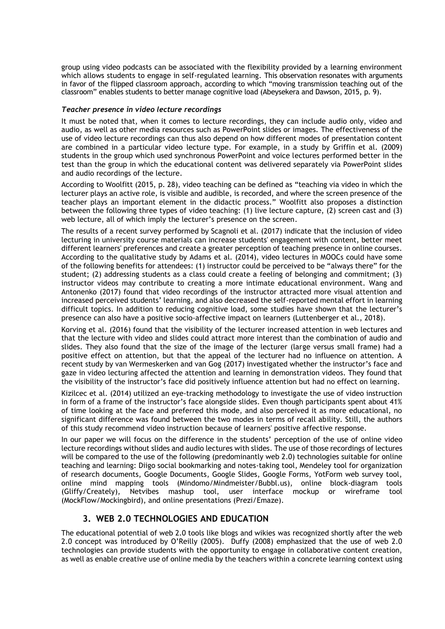group using video podcasts can be associated with the flexibility provided by a learning environment which allows students to engage in self-regulated learning. This observation resonates with arguments in favor of the flipped classroom approach, according to which "moving transmission teaching out of the classroom" enables students to better manage cognitive load (Abeysekera and Dawson, 2015, p. 9).

#### *Teacher presence in video lecture recordings*

It must be noted that, when it comes to lecture recordings, they can include audio only, video and audio, as well as other media resources such as PowerPoint slides or images. The effectiveness of the use of video lecture recordings can thus also depend on how different modes of presentation content are combined in a particular video lecture type. For example, in a study by Griffin et al. (2009) students in the group which used synchronous PowerPoint and voice lectures performed better in the test than the group in which the educational content was delivered separately via PowerPoint slides and audio recordings of the lecture.

According to Woolfitt (2015, p. 28), video teaching can be defined as "teaching via video in which the lecturer plays an active role, is visible and audible, is recorded, and where the screen presence of the teacher plays an important element in the didactic process." Woolfitt also proposes a distinction between the following three types of video teaching: (1) live lecture capture, (2) screen cast and (3) web lecture, all of which imply the lecturer's presence on the screen.

The results of a recent survey performed by Scagnoli et al. (2017) indicate that the inclusion of video lecturing in university course materials can increase students' engagement with content, better meet different learners' preferences and create a greater perception of teaching presence in online courses. According to the qualitative study by Adams et al. (2014), video lectures in MOOCs could have some of the following benefits for attendees: (1) instructor could be perceived to be "always there" for the student; (2) addressing students as a class could create a feeling of belonging and commitment; (3) instructor videos may contribute to creating a more intimate educational environment. Wang and Antonenko (2017) found that video recordings of the instructor attracted more visual attention and increased perceived students' learning, and also decreased the self-reported mental effort in learning difficult topics. In addition to reducing cognitive load, some studies have shown that the lecturer's presence can also have a positive socio-affective impact on learners (Luttenberger et al., 2018).

Korving et al. (2016) found that the visibility of the lecturer increased attention in web lectures and that the lecture with video and slides could attract more interest than the combination of audio and slides. They also found that the size of the image of the lecturer (large versus small frame) had a positive effect on attention, but that the appeal of the lecturer had no influence on attention. A recent study by van Wermeskerken and van Gog (2017) investigated whether the instructor's face and gaze in video lecturing affected the attention and learning in demonstration videos. They found that the visibility of the instructor's face did positively influence attention but had no effect on learning.

Kizilcec et al. (2014) utilized an eye-tracking methodology to investigate the use of video instruction in form of a frame of the instructor's face alongside slides. Even though participants spent about 41% of time looking at the face and preferred this mode, and also perceived it as more educational, no significant difference was found between the two modes in terms of recall ability. Still, the authors of this study recommend video instruction because of learners' positive affective response.

In our paper we will focus on the difference in the students' perception of the use of online video lecture recordings without slides and audio lectures with slides. The use of those recordings of lectures will be compared to the use of the following (predominantly web 2.0) technologies suitable for online teaching and learning: Diigo social bookmarking and notes-taking tool, Mendeley tool for organization of research documents, Google Documents, Google Slides, Google Forms, YotForm web survey tool, online mind mapping tools (Mindomo/Mindmeister/Bubbl.us), online block-diagram tools (Gliffy/Creately), Netvibes mashup tool, user interface mockup or wireframe tool (MockFlow/Mockingbird), and online presentations (Prezi/Emaze).

## **3. WEB 2.0 TECHNOLOGIES AND EDUCATION**

The educational potential of web 2.0 tools like blogs and wikies was recognized shortly after the web 2.0 concept was introduced by O'Reilly (2005). Duffy (2008) emphasized that the use of web 2.0 technologies can provide students with the opportunity to engage in collaborative content creation, as well as enable creative use of online media by the teachers within a concrete learning context using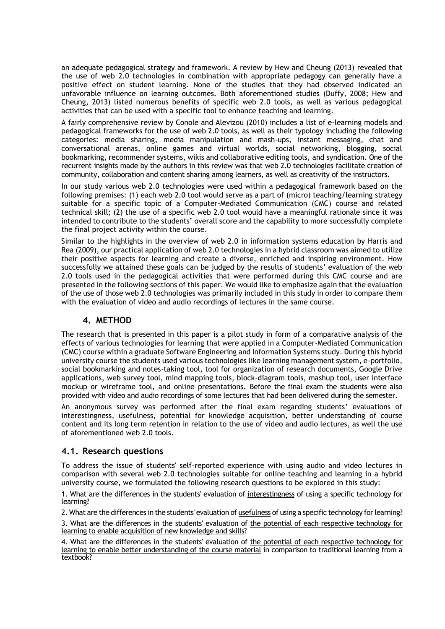an adequate pedagogical strategy and framework. A review by Hew and Cheung (2013) revealed that the use of web 2.0 technologies in combination with appropriate pedagogy can generally have a positive effect on student learning. None of the studies that they had observed indicated an unfavorable influence on learning outcomes. Both aforementioned studies (Duffy, 2008; Hew and Cheung, 2013) listed numerous benefits of specific web 2.0 tools, as well as various pedagogical activities that can be used with a specific tool to enhance teaching and learning.

A fairly comprehensive review by Conole and Alevizou (2010) includes a list of e‐learning models and pedagogical frameworks for the use of web 2.0 tools, as well as their typology including the following categories: media sharing, media manipulation and mash‐ups, instant messaging, chat and conversational arenas, online games and virtual worlds, social networking, blogging, social bookmarking, recommender systems, wikis and collaborative editing tools, and syndication. One of the recurrent insights made by the authors in this review was that web 2.0 technologies facilitate creation of community, collaboration and content sharing among learners, as well as creativity of the instructors.

In our study various web 2.0 technologies were used within a pedagogical framework based on the following premises: (1) each web 2.0 tool would serve as a part of (micro) teaching/learning strategy suitable for a specific topic of a Computer-Mediated Communication (CMC) course and related technical skill; (2) the use of a specific web 2.0 tool would have a meaningful rationale since it was intended to contribute to the students' overall score and the capability to more successfully complete the final project activity within the course.

Similar to the highlights in the overview of web 2.0 in information systems education by Harris and Rea (2009), our practical application of web 2.0 technologies in a hybrid classroom was aimed to utilize their positive aspects for learning and create a diverse, enriched and inspiring environment. How successfully we attained these goals can be judged by the results of students' evaluation of the web 2.0 tools used in the pedagogical activities that were performed during this CMC course and are presented in the following sections of this paper. We would like to emphasize again that the evaluation of the use of those web 2.0 technologies was primarily included in this study in order to compare them with the evaluation of video and audio recordings of lectures in the same course.

## **4. METHOD**

The research that is presented in this paper is a pilot study in form of a comparative analysis of the effects of various technologies for learning that were applied in a Computer-Mediated Communication (CMC) course within a graduate Software Engineering and Information Systems study. During this hybrid university course the students used various technologies like learning management system, e-portfolio, social bookmarking and notes-taking tool, tool for organization of research documents, Google Drive applications, web survey tool, mind mapping tools, block-diagram tools, mashup tool, user interface mockup or wireframe tool, and online presentations. Before the final exam the students were also provided with video and audio recordings of some lectures that had been delivered during the semester.

An anonymous survey was performed after the final exam regarding students' evaluations of interestingness, usefulness, potential for knowledge acquisition, better understanding of course content and its long term retention in relation to the use of video and audio lectures, as well the use of aforementioned web 2.0 tools.

## **4.1. Research questions**

To address the issue of students' self-reported experience with using audio and video lectures in comparison with several web 2.0 technologies suitable for online teaching and learning in a hybrid university course, we formulated the following research questions to be explored in this study:

1. What are the differences in the students' evaluation of interestingness of using a specific technology for learning?

2. What are the differences in the students' evaluation of usefulness of using a specific technology for learning?

3. What are the differences in the students' evaluation of the potential of each respective technology for learning to enable acquisition of new knowledge and skills?

4. What are the differences in the students' evaluation of the potential of each respective technology for learning to enable better understanding of the course material in comparison to traditional learning from a textbook?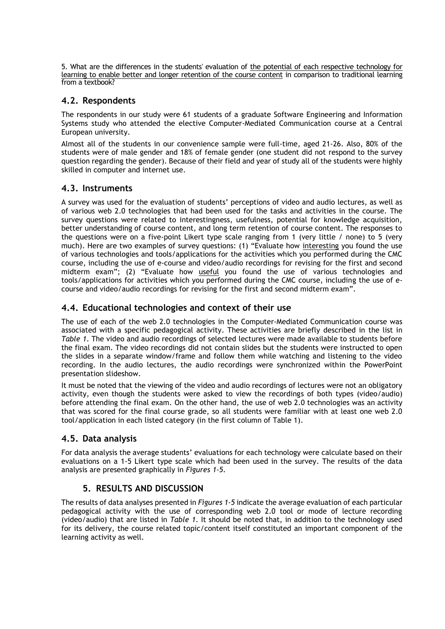5. What are the differences in the students' evaluation of the potential of each respective technology for learning to enable better and longer retention of the course content in comparison to traditional learning from a textbook?

# **4.2. Respondents**

The respondents in our study were 61 students of a graduate Software Engineering and Information Systems study who attended the elective Computer-Mediated Communication course at a Central European university.

Almost all of the students in our convenience sample were full-time, aged 21-26. Also, 80% of the students were of male gender and 18% of female gender (one student did not respond to the survey question regarding the gender). Because of their field and year of study all of the students were highly skilled in computer and internet use.

# **4.3. Instruments**

A survey was used for the evaluation of students' perceptions of video and audio lectures, as well as of various web 2.0 technologies that had been used for the tasks and activities in the course. The survey questions were related to interestingness, usefulness, potential for knowledge acquisition, better understanding of course content, and long term retention of course content. The responses to the questions were on a five-point Likert type scale ranging from 1 (very little / none) to 5 (very much). Here are two examples of survey questions: (1) "Evaluate how interesting you found the use of various technologies and tools/applications for the activities which you performed during the CMC course, including the use of e-course and video/audio recordings for revising for the first and second midterm exam"; (2) "Evaluate how useful you found the use of various technologies and tools/applications for activities which you performed during the CMC course, including the use of ecourse and video/audio recordings for revising for the first and second midterm exam".

## **4.4. Educational technologies and context of their use**

The use of each of the web 2.0 technologies in the Computer-Mediated Communication course was associated with a specific pedagogical activity. These activities are briefly described in the list in *Table 1*. The video and audio recordings of selected lectures were made available to students before the final exam. The video recordings did not contain slides but the students were instructed to open the slides in a separate window/frame and follow them while watching and listening to the video recording. In the audio lectures, the audio recordings were synchronized within the PowerPoint presentation slideshow.

It must be noted that the viewing of the video and audio recordings of lectures were not an obligatory activity, even though the students were asked to view the recordings of both types (video/audio) before attending the final exam. On the other hand, the use of web 2.0 technologies was an activity that was scored for the final course grade, so all students were familiar with at least one web 2.0 tool/application in each listed category (in the first column of Table 1).

## **4.5. Data analysis**

For data analysis the average students' evaluations for each technology were calculate based on their evaluations on a 1-5 Likert type scale which had been used in the survey. The results of the data analysis are presented graphically in *Figures 1-5*.

## **5. RESULTS AND DISCUSSION**

The results of data analyses presented in *Figures 1-5* indicate the average evaluation of each particular pedagogical activity with the use of corresponding web 2.0 tool or mode of lecture recording (video/audio) that are listed in *Table 1*. It should be noted that, in addition to the technology used for its delivery, the course related topic/content itself constituted an important component of the learning activity as well.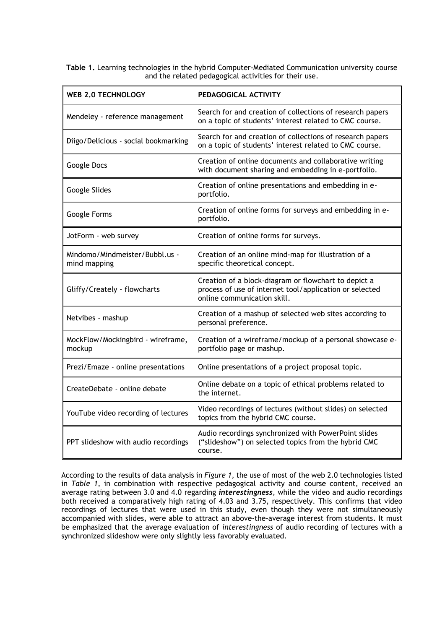**Table 1.** Learning technologies in the hybrid Computer-Mediated Communication university course and the related pedagogical activities for their use.

| <b>WEB 2.0 TECHNOLOGY</b>                      | PEDAGOGICAL ACTIVITY                                                                                                                           |
|------------------------------------------------|------------------------------------------------------------------------------------------------------------------------------------------------|
| Mendeley - reference management                | Search for and creation of collections of research papers<br>on a topic of students' interest related to CMC course.                           |
| Diigo/Delicious - social bookmarking           | Search for and creation of collections of research papers<br>on a topic of students' interest related to CMC course.                           |
| Google Docs                                    | Creation of online documents and collaborative writing<br>with document sharing and embedding in e-portfolio.                                  |
| Google Slides                                  | Creation of online presentations and embedding in e-<br>portfolio.                                                                             |
| Google Forms                                   | Creation of online forms for surveys and embedding in e-<br>portfolio.                                                                         |
| JotForm - web survey                           | Creation of online forms for surveys.                                                                                                          |
| Mindomo/Mindmeister/Bubbl.us -<br>mind mapping | Creation of an online mind-map for illustration of a<br>specific theoretical concept.                                                          |
| Gliffy/Creately - flowcharts                   | Creation of a block-diagram or flowchart to depict a<br>process of use of internet tool/application or selected<br>online communication skill. |
| Netvibes - mashup                              | Creation of a mashup of selected web sites according to<br>personal preference.                                                                |
| MockFlow/Mockingbird - wireframe,<br>mockup    | Creation of a wireframe/mockup of a personal showcase e-<br>portfolio page or mashup.                                                          |
| Prezi/Emaze - online presentations             | Online presentations of a project proposal topic.                                                                                              |
| CreateDebate - online debate                   | Online debate on a topic of ethical problems related to<br>the internet.                                                                       |
| YouTube video recording of lectures            | Video recordings of lectures (without slides) on selected<br>topics from the hybrid CMC course.                                                |
| PPT slideshow with audio recordings            | Audio recordings synchronized with PowerPoint slides<br>("slideshow") on selected topics from the hybrid CMC<br>course.                        |

According to the results of data analysis in *Figure 1*, the use of most of the web 2.0 technologies listed in *Table 1*, in combination with respective pedagogical activity and course content, received an average rating between 3.0 and 4.0 regarding *interestingness*, while the video and audio recordings both received a comparatively high rating of 4.03 and 3.75, respectively. This confirms that video recordings of lectures that were used in this study, even though they were not simultaneously accompanied with slides, were able to attract an above-the-average interest from students. It must be emphasized that the average evaluation of *interestingness* of audio recording of lectures with a synchronized slideshow were only slightly less favorably evaluated.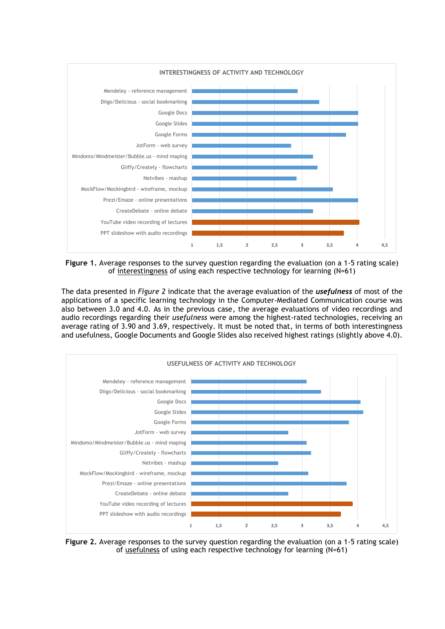

**Figure 1.** Average responses to the survey question regarding the evaluation (on a 1-5 rating scale) of interestingness of using each respective technology for learning (N=61)

The data presented in *Figure 2* indicate that the average evaluation of the *usefulness* of most of the applications of a specific learning technology in the Computer-Mediated Communication course was also between 3.0 and 4.0. As in the previous case, the average evaluations of video recordings and audio recordings regarding their *usefulness* were among the highest-rated technologies, receiving an average rating of 3.90 and 3.69, respectively. It must be noted that, in terms of both interestingness and usefulness, Google Documents and Google Slides also received highest ratings (slightly above 4.0).



**Figure 2.** Average responses to the survey question regarding the evaluation (on a 1-5 rating scale) of usefulness of using each respective technology for learning (N=61)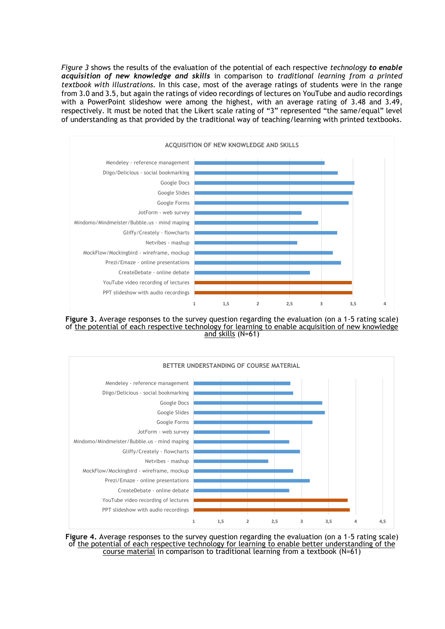*Figure 3* shows the results of the evaluation of the potential of each respective *technology to enable acquisition of new knowledge and skills* in comparison to *traditional learning from a printed textbook with illustrations.* In this case, most of the average ratings of students were in the range from 3.0 and 3.5, but again the ratings of video recordings of lectures on YouTube and audio recordings with a PowerPoint slideshow were among the highest, with an average rating of 3.48 and 3.49, respectively. It must be noted that the Likert scale rating of "3" represented "the same/equal" level of understanding as that provided by the traditional way of teaching/learning with printed textbooks.



**Figure 3.** Average responses to the survey question regarding the evaluation (on a 1-5 rating scale) of the potential of each respective technology for learning to enable acquisition of new knowledge and skills (N=61)



**Figure 4.** Average responses to the survey question regarding the evaluation (on a 1-5 rating scale) of the potential of each respective technology for learning to enable better understanding of the course material in comparison to traditional learning from a textbook (N=61)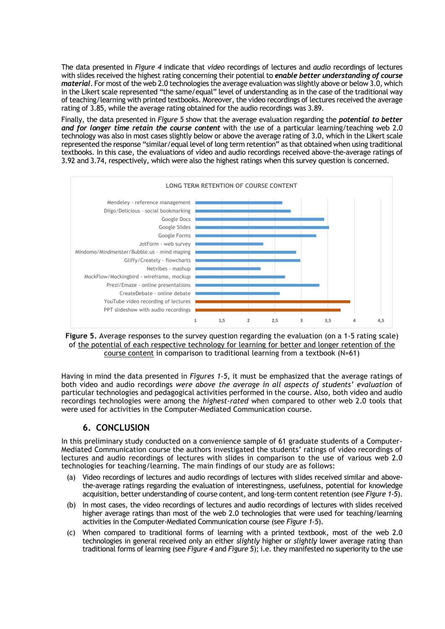The data presented in *Figure 4* indicate that *video* recordings of lectures and *audio* recordings of lectures with slides received the highest rating concerning their potential to *enable better understanding of course material*. For most of the web 2.0 technologies the average evaluation was slightly above or below 3.0, which in the Likert scale represented "the same/equal" level of understanding as in the case of the traditional way of teaching/learning with printed textbooks. Moreover, the video recordings of lectures received the average rating of 3.85, while the average rating obtained for the audio recordings was 3.89.

Finally, the data presented in *Figure 5* show that the average evaluation regarding the *potential to better and for longer time retain the course content* with the use of a particular learning/teaching web 2.0 technology was also in most cases slightly below or above the average rating of 3.0, which in the Likert scale represented the response "similar/equal level of long term retention" as that obtained when using traditional textbooks. In this case, the evaluations of video and audio recordings received above-the-average ratings of 3.92 and 3.74, respectively, which were also the highest ratings when this survey question is concerned.



**Figure 5.** Average responses to the survey question regarding the evaluation (on a 1-5 rating scale) of the potential of each respective technology for learning for better and longer retention of the course content in comparison to traditional learning from a textbook (N=61)

Having in mind the data presented in *Figures 1-5*, it must be emphasized that the average ratings of both video and audio recordings *were above the average in all aspects of students' evaluation* of particular technologies and pedagogical activities performed in the course. Also, both video and audio recordings technologies were among the *highest-rated* when compared to other web 2.0 tools that were used for activities in the Computer-Mediated Communication course.

## **6. CONCLUSION**

In this preliminary study conducted on a convenience sample of 61 graduate students of a Computer-Mediated Communication course the authors investigated the students' ratings of video recordings of lectures and audio recordings of lectures with slides in comparison to the use of various web 2.0 technologies for teaching/learning. The main findings of our study are as follows:

- (a) Video recordings of lectures and audio recordings of lectures with slides received similar and abovethe-average ratings regarding the evaluation of interestingness, usefulness, potential for knowledge acquisition, better understanding of course content, and long-term content retention (see *Figure 1-5*).
- (b) In most cases, the video recordings of lectures and audio recordings of lectures with slides received higher average ratings than most of the web 2.0 technologies that were used for teaching/learning activities in the Computer-Mediated Communication course (see *Figure 1-5*).
- (c) When compared to traditional forms of learning with a printed textbook, most of the web 2.0 technologies in general received only an either *slightly* higher or *slightly* lower average rating than traditional forms of learning (see *Figure 4* and *Figure 5*); i.e. they manifested no superiority to the use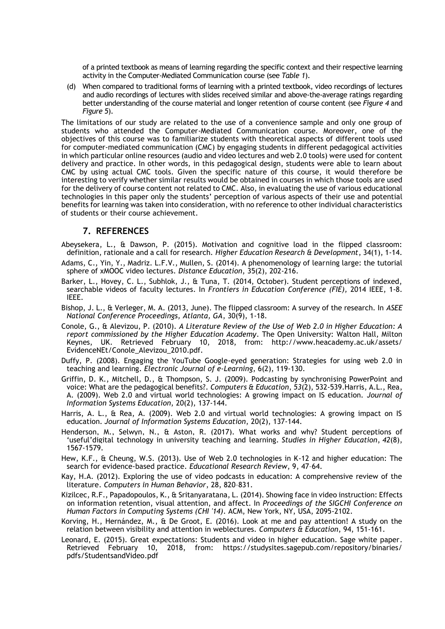of a printed textbook as means of learning regarding the specific context and their respective learning activity in the Computer-Mediated Communication course (see *Table 1*).

(d) When compared to traditional forms of learning with a printed textbook, video recordings of lectures and audio recordings of lectures with slides received similar and above-the-average ratings regarding better understanding of the course material and longer retention of course content (see *Figure 4* and *Figure 5*).

The limitations of our study are related to the use of a convenience sample and only one group of students who attended the Computer-Mediated Communication course. Moreover, one of the objectives of this course was to familiarize students with theoretical aspects of different tools used for computer-mediated communication (CMC) by engaging students in different pedagogical activities in which particular online resources (audio and video lectures and web 2.0 tools) were used for content delivery and practice. In other words, in this pedagogical design, students were able to learn about CMC by using actual CMC tools. Given the specific nature of this course, it would therefore be interesting to verify whether similar results would be obtained in courses in which those tools are used for the delivery of course content not related to CMC. Also, in evaluating the use of various educational technologies in this paper only the students' perception of various aspects of their use and potential benefits for learning was taken into consideration, with no reference to other individual characteristics of students or their course achievement.

## **7. REFERENCES**

- Abeysekera, L., & Dawson, P. (2015). Motivation and cognitive load in the flipped classroom: definition, rationale and a call for research. *Higher Education Research & Development*, 34(1), 1-14.
- Adams, C., Yin, Y., Madriz. L.F.V., Mullen, S. (2014). A phenomenology of learning large: the tutorial sphere of xMOOC video lectures. *Distance Education*, 35(2), 202-216.
- Barker, L., Hovey, C. L., Subhlok, J., & Tuna, T. (2014, October). Student perceptions of indexed, searchable videos of faculty lectures. In *Frontiers in Education Conference (FIE),* 2014 IEEE, 1-8. IEEE.
- Bishop, J. L., & Verleger, M. A. (2013, June). The flipped classroom: A survey of the research. In *ASEE National Conference Proceedings, Atlanta, GA*, 30(9), 1-18.
- Conole, G., & Alevizou, P. (2010). *A Literature Review of the Use of Web 2.0 in Higher Education: A report commissioned by the Higher Education Academy*. The Open University: Walton Hall, Milton Keynes, UK. Retrieved February 10, 2018, from: http://www.heacademy.ac.uk/assets/ EvidenceNEt/Conole\_Alevizou\_2010.pdf.
- Duffy, P. (2008). Engaging the YouTube Google-eyed generation: Strategies for using web 2.0 in teaching and learning. *Electronic Journal of e-Learning*, 6(2), 119-130.
- Griffin, D. K., Mitchell, D., & Thompson, S. J. (2009). Podcasting by synchronising PowerPoint and voice: What are the pedagogical benefits?. *Computers & Education*, *53*(2), 532-539.Harris, A.L., Rea, A. (2009). Web 2.0 and virtual world technologies: A growing impact on IS education. *Journal of Information Systems Education*, 20(2), 137-144.
- Harris, A. L., & Rea, A. (2009). Web 2.0 and virtual world technologies: A growing impact on IS education. *Journal of Information Systems Education*, 20(2), 137-144.
- Henderson, M., Selwyn, N., & Aston, R. (2017). What works and why? Student perceptions of 'useful'digital technology in university teaching and learning. *Studies in Higher Education*, *42*(8), 1567-1579.
- Hew, K.F., & Cheung, W.S. (2013). Use of Web 2.0 technologies in K-12 and higher education: The search for evidence-based practice. *Educational Research Review*, 9, 47–64.
- Kay, H.A. (2012). Exploring the use of video podcasts in education: A comprehensive review of the literature. *Computers in Human Behavior*, 28, 820–831.
- Kizilcec, R.F., Papadopoulos, K., & Sritanyaratana, L. (2014). Showing face in video instruction: Effects on information retention, visual attention, and affect. In *Proceedings of the SIGCHI Conference on Human Factors in Computing Systems (CHI '14)*. ACM, New York, NY, USA, 2095-2102.
- Korving, H., Hernández, M., & De Groot, E. (2016). Look at me and pay attention! A study on the relation between visibility and attention in weblectures. *Computers & Education*, 94, 151-161.
- Leonard, E. (2015). Great expectations: Students and video in higher education. Sage white paper.<br>Retrieved February 10. 2018. from: https://studysites.sagepub.com/repository/binaries/ 2018, from: https://studysites.sagepub.com/repository/binaries/ pdfs/StudentsandVideo.pdf